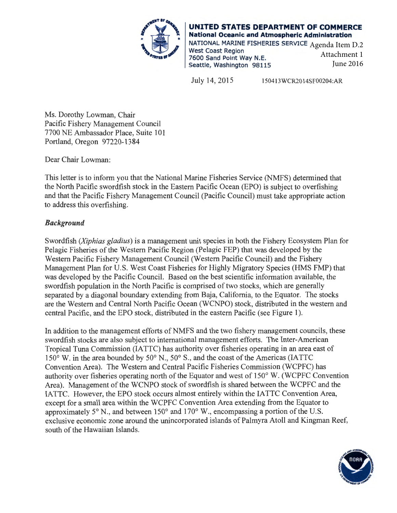

**UNITED STATES DEPARTMENT OF COMMERCE National Oceanic and Atmospheric Administration**  NATIONAL MARINE FISHERIES SERVICE Agenda Item D.2 West Coast Region 7600 Sand Point Way N.E. Seattle, Washington 98115 Attachment 1 June 2016

July 14, 2015 150413WCR2014SF00204:AR

Ms. Dorothy Lowman, Chair Pacific Fishery Management Council 7700 NE Ambassador Place, Suite 101 Portland, Oregon 97220-13 84

Dear Chair Lowman:

This letter is to inform you that the National Marine Fisheries Service (NMFS) determined that the North Pacific swordfish stock in the Eastern Pacific Ocean (EPO) is subject to overfishing and that the Pacific Fishery Management Council (Pacific Council) must take appropriate action to address this overfishing.

## *Background*

Swordfish *(Xiphias gladius)* is a management unit species in both the Fishery Ecosystem Plan for Pelagic Fisheries of the Western Pacific Region (Pelagic FEP) that was developed by the Western Pacific Fishery Management Council (Western Pacific Council) and the Fishery Management Plan for U.S. West Coast Fisheries for Highly Migratory Species (HMS FMP) that was developed by the Pacific Council. Based on the best scientific information available, the swordfish population in the North Pacific is comprised of two stocks, which are generally separated by a diagonal boundary extending from Baja, California, to the Equator. The stocks are the Western and Central North Pacific Ocean (WCNPO) stock, distributed in the western and central Pacific, and the EPO stock, distributed in the eastern Pacific (see Figure 1).

In addition to the management efforts of NMFS and the two fishery management councils, these swordfish stocks are also subject to international management efforts. The Inter-American Tropical Tuna Commission (IATTC) has authority over fisheries operating in an area east of  $150^{\circ}$  W. in the area bounded by  $50^{\circ}$  N.,  $50^{\circ}$  S., and the coast of the Americas (IATTC Convention Area). The Western and Central Pacific Fisheries Commission (WCPFC) has authority over fisheries operating north of the Equator and west of 150° W. (WCPFC Convention Area). Management of the WCNPO stock of swordfish is shared between the WCPFC and the IATTC. However, the EPO stock occurs almost entirely within the IATTC Convention Area, except for a small area within the WCPFC Convention Area extending from the Equator to approximately 5° N., and between 150° and 170° W., encompassing a portion of the U.S. exclusive economic zone around the unincorporated islands of Palmyra Atoll and Kingman Reef, south of the Hawaiian Islands.

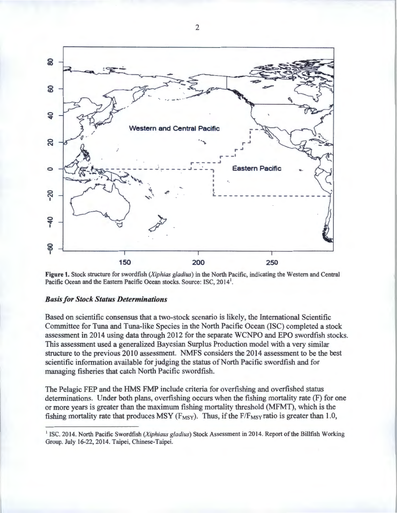

**Figure 1.** Stock structure for swordfish *(Xiphias gladius)* in the North Pacific, indicating the Western and Central Pacific Ocean and the Eastern Pacific Ocean stocks. Source: ISC, 2014<sup>1</sup>.

## *Basis for Stock Status Determinations*

Based on scientific consensus that a two-stock scenario is likely, the International Scientific Committee for Tuna and Tuna-like Species in the North Pacific Ocean (ISC) completed a stock assessment in 2014 using data through 2012 for the separate WCNPO and EPO swordfish stocks. This assessment used a generalized Bayesian Surplus Production model with a very similar structure to the previous 2010 assessment. NMFS considers the 2014 assessment to be the best scientific information available for judging the status of North Pacific swordfish and for managing fisheries that catch North Pacific swordfish.

The Pelagic FEP and the HMS FMP include criteria for overfishing and overfished status determinations. Under both plans, overfishing occurs when the fishing mortality rate (F) for one or more years is greater than the maximum fishing mortality threshold (MFMT), which is the fishing mortality rate that produces MSY ( $F_{MSY}$ ). Thus, if the  $F/F_{MSY}$  ratio is greater than 1.0,

2

<sup>&</sup>lt;sup>1</sup> ISC. 2014. North Pacific Swordfish (Xiphiaus gladius) Stock Assessment in 2014. Report of the Billfish Working Group. July 16-22, 2014. Taipei, Chinese-Taipei.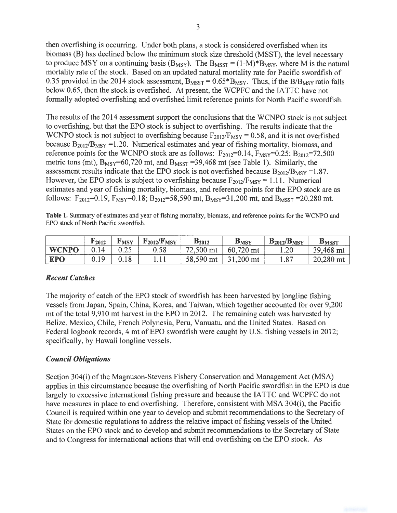then overfishing is occurring. Under both plans, a stock is considered overfished when its biomass (B) has declined below the minimum stock size threshold (MSST), the level necessary to produce MSY on a continuing basis ( $B_{MSY}$ ). The  $B_{MST} = (1-M)^*B_{MSY}$ , where M is the natural mortality rate of the stock. Based on an updated natural mortality rate for Pacific swordfish of 0.35 provided in the 2014 stock assessment,  $B_{MST} = 0.65*B_{MSY}$ . Thus, if the  $B/B_{MSY}$  ratio falls below 0.65, then the stock is overfished. At present, the WCPFC and the IATTC have not formally adopted overfishing and overfished limit reference points for North Pacific swordfish.

The results of the 2014 assessment support the conclusions that the WCNPO stock is not subject to overfishing, but that the EPO stock is subject to overfishing. The results indicate that the WCNPO stock is not subject to overfishing because  $F_{2012}/F_{MSY} = 0.58$ , and it is not overfished because  $B_{2012}/B_{MSY}$  =1.20. Numerical estimates and year of fishing mortality, biomass, and reference points for the WCNPO stock are as follows:  $F_{2012}=0.14$ ,  $F_{MSY}=0.25$ ;  $B_{2012}=72,500$ metric tons (mt),  $B_{MSY} = 60,720$  mt, and  $B_{M SST} = 39,468$  mt (see Table 1). Similarly, the assessment results indicate that the EPO stock is not overfished because  $B_{2012}/B_{MSY} = 1.87$ . However, the EPO stock is subject to overfishing because  $F_{2012}/F_{MSY} = 1.11$ . Numerical estimates and year of fishing mortality, biomass, and reference points for the EPO stock are as follows:  $F_{2012}$ =0.19,  $F_{MSY}$ =0.18;  $B_{2012}$ =58,590 mt,  $B_{MSY}$ =31,200 mt, and  $B_{MSST}$  =20,280 mt.

Table 1. Summary of estimates and year of fishing mortality, biomass, and reference points for the WCNPO and EPO stock of North Pacific swordfish.

|              | <b>r</b> 2012 | l' MSY | $F_{2012}/F_{MSY}$ | $B_{2012}$ | $B_{MSY}$ | $B_{2012}/B_{MSY}$ | <b>BMSST</b> |
|--------------|---------------|--------|--------------------|------------|-----------|--------------------|--------------|
| <b>WCNPO</b> |               | ∪.∠J   | 0.58               | 72,500 mt  | 60,720 mt | .20                | 39,468 mt    |
| <b>EPO</b>   | ∩ 1 Q         | 1 O    | 1 . 1 1            | 58,590 mt  | 31,200 mt | $\circ$            | 20,280 mt    |

## *Recent Catches*

The majority of catch of the EPO stock of swordfish has been harvested by longline fishing vessels from Japan, Spain, China, Korea, and Taiwan, which together accounted for over 9,200 mt of the total 9,910 mt harvest in the EPO in 2012. The remaining catch was harvested by Belize, Mexico, Chile, French Polynesia, Peru, Vanuatu, and the United States. Based on Federal logbook records, 4 mt of EPO swordfish were caught by U.S. fishing vessels in 2012; specifically, by Hawaii longline vessels.

## *Council Obligations*

Section 304(i) of the Magnuson-Stevens Fishery Conservation and Management Act (MSA) applies in this circumstance because the overfishing of North Pacific swordfish in the EPO is due largely to excessive international fishing pressure and because the IA TTC and WCPFC do not have measures in place to end overfishing. Therefore, consistent with MSA 304(i), the Pacific Council is required within one year to develop and submit recommendations to the Secretary of State for domestic regulations to address the relative impact of fishing vessels of the United States on the EPO stock and to develop and submit recommendations to the Secretary of State and to Congress for international actions that will end overfishing on the EPO stock. As